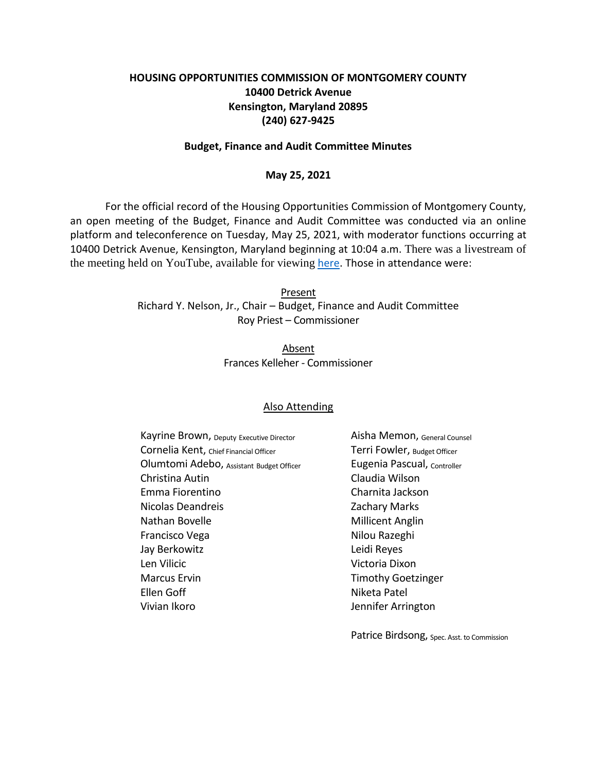# **HOUSING OPPORTUNITIES COMMISSION OF MONTGOMERY COUNTY 10400 Detrick Avenue Kensington, Maryland 20895 (240) 627-9425**

#### **Budget, Finance and Audit Committee Minutes**

#### **May 25, 2021**

For the official record of the Housing Opportunities Commission of Montgomery County, an open meeting of the Budget, Finance and Audit Committee was conducted via an online platform and teleconference on Tuesday, May 25, 2021, with moderator functions occurring at 10400 Detrick Avenue, Kensington, Maryland beginning at 10:04 a.m. There was a livestream of the meeting held on YouTube, available for viewing [here.](https://youtu.be/vOhMuUoFy4U) Those in attendance were:

> Present Richard Y. Nelson, Jr., Chair – Budget, Finance and Audit Committee Roy Priest – Commissioner

> > Absent Frances Kelleher - Commissioner

### Also Attending

Kayrine Brown, Deputy Executive Director **Aisha Memon**, General Counsel Cornelia Kent, Chief Financial Officer Terri Fowler, Budget Officer Olumtomi Adebo, Assistant Budget Officer **Eugenia Pascual**, Controller Christina Autin Claudia Wilson Emma Fiorentino Charnita Jackson Nicolas Deandreis **Nicolas Deandreis** 2achary Marks Nathan Bovelle Millicent Anglin Francisco Vega Nilou Razeghi Jay Berkowitz Leidi Reyes Len Vilicic **Victoria Dixon** Marcus Ervin **Marcus Erving Community** Timothy Goetzinger Ellen Goff Niketa Patel Vivian Ikoro **Vivian Ikoro** Jennifer Arrington

Patrice Birdsong, Spec. Asst. to Commission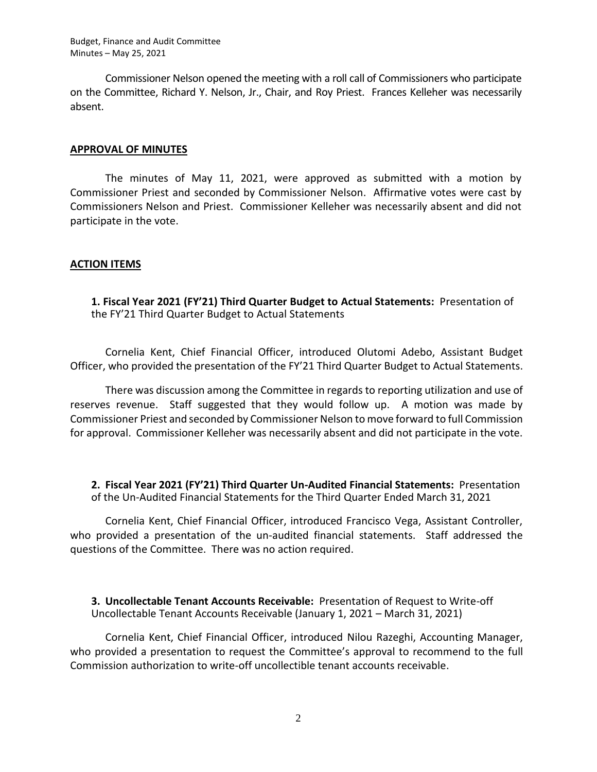Commissioner Nelson opened the meeting with a roll call of Commissioners who participate on the Committee, Richard Y. Nelson, Jr., Chair, and Roy Priest. Frances Kelleher was necessarily absent.

### **APPROVAL OF MINUTES**

The minutes of May 11, 2021, were approved as submitted with a motion by Commissioner Priest and seconded by Commissioner Nelson. Affirmative votes were cast by Commissioners Nelson and Priest. Commissioner Kelleher was necessarily absent and did not participate in the vote.

## **ACTION ITEMS**

**1. Fiscal Year 2021 (FY'21) Third Quarter Budget to Actual Statements:** Presentation of the FY'21 Third Quarter Budget to Actual Statements

Cornelia Kent, Chief Financial Officer, introduced Olutomi Adebo, Assistant Budget Officer, who provided the presentation of the FY'21 Third Quarter Budget to Actual Statements.

There was discussion among the Committee in regards to reporting utilization and use of reserves revenue. Staff suggested that they would follow up. A motion was made by Commissioner Priest and seconded by Commissioner Nelson to move forward to full Commission for approval. Commissioner Kelleher was necessarily absent and did not participate in the vote.

**2. Fiscal Year 2021 (FY'21) Third Quarter Un-Audited Financial Statements:** Presentation of the Un-Audited Financial Statements for the Third Quarter Ended March 31, 2021

Cornelia Kent, Chief Financial Officer, introduced Francisco Vega, Assistant Controller, who provided a presentation of the un-audited financial statements. Staff addressed the questions of the Committee. There was no action required.

**3. Uncollectable Tenant Accounts Receivable:** Presentation of Request to Write-off Uncollectable Tenant Accounts Receivable (January 1, 2021 – March 31, 2021)

Cornelia Kent, Chief Financial Officer, introduced Nilou Razeghi, Accounting Manager, who provided a presentation to request the Committee's approval to recommend to the full Commission authorization to write-off uncollectible tenant accounts receivable.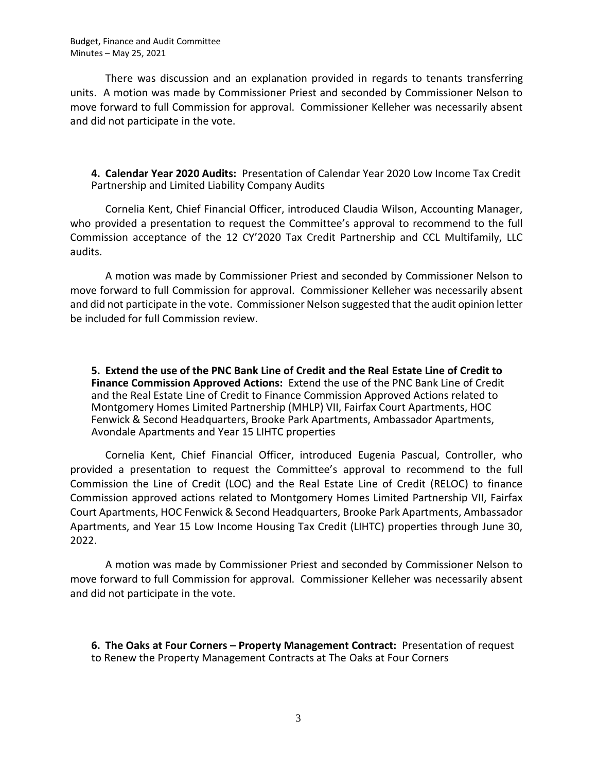There was discussion and an explanation provided in regards to tenants transferring units. A motion was made by Commissioner Priest and seconded by Commissioner Nelson to move forward to full Commission for approval. Commissioner Kelleher was necessarily absent and did not participate in the vote.

**4. Calendar Year 2020 Audits:** Presentation of Calendar Year 2020 Low Income Tax Credit Partnership and Limited Liability Company Audits

Cornelia Kent, Chief Financial Officer, introduced Claudia Wilson, Accounting Manager, who provided a presentation to request the Committee's approval to recommend to the full Commission acceptance of the 12 CY'2020 Tax Credit Partnership and CCL Multifamily, LLC audits.

A motion was made by Commissioner Priest and seconded by Commissioner Nelson to move forward to full Commission for approval. Commissioner Kelleher was necessarily absent and did not participate in the vote. Commissioner Nelson suggested that the audit opinion letter be included for full Commission review.

**5. Extend the use of the PNC Bank Line of Credit and the Real Estate Line of Credit to Finance Commission Approved Actions:** Extend the use of the PNC Bank Line of Credit and the Real Estate Line of Credit to Finance Commission Approved Actions related to Montgomery Homes Limited Partnership (MHLP) VII, Fairfax Court Apartments, HOC Fenwick & Second Headquarters, Brooke Park Apartments, Ambassador Apartments, Avondale Apartments and Year 15 LIHTC properties

Cornelia Kent, Chief Financial Officer, introduced Eugenia Pascual, Controller, who provided a presentation to request the Committee's approval to recommend to the full Commission the Line of Credit (LOC) and the Real Estate Line of Credit (RELOC) to finance Commission approved actions related to Montgomery Homes Limited Partnership VII, Fairfax Court Apartments, HOC Fenwick & Second Headquarters, Brooke Park Apartments, Ambassador Apartments, and Year 15 Low Income Housing Tax Credit (LIHTC) properties through June 30, 2022.

A motion was made by Commissioner Priest and seconded by Commissioner Nelson to move forward to full Commission for approval. Commissioner Kelleher was necessarily absent and did not participate in the vote.

**6. The Oaks at Four Corners – Property Management Contract:** Presentation of request to Renew the Property Management Contracts at The Oaks at Four Corners